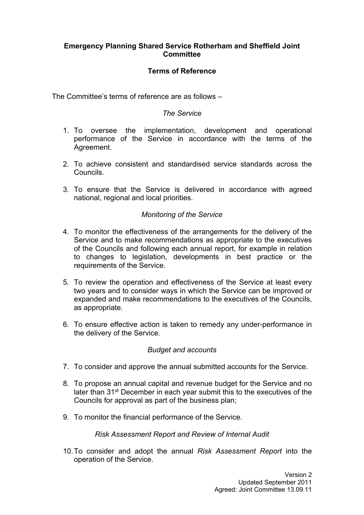## **Emergency Planning Shared Service Rotherham and Sheffield Joint Committee**

# **Terms of Reference**

The Committee's terms of reference are as follows –

## *The Service*

- 1. To oversee the implementation, development and operational performance of the Service in accordance with the terms of the Agreement.
- 2. To achieve consistent and standardised service standards across the Councils.
- 3. To ensure that the Service is delivered in accordance with agreed national, regional and local priorities.

## *Monitoring of the Service*

- 4. To monitor the effectiveness of the arrangements for the delivery of the Service and to make recommendations as appropriate to the executives of the Councils and following each annual report, for example in relation to changes to legislation, developments in best practice or the requirements of the Service.
- 5. To review the operation and effectiveness of the Service at least every two years and to consider ways in which the Service can be improved or expanded and make recommendations to the executives of the Councils, as appropriate.
- 6. To ensure effective action is taken to remedy any under-performance in the delivery of the Service.

## *Budget and accounts*

- 7. To consider and approve the annual submitted accounts for the Service.
- 8. To propose an annual capital and revenue budget for the Service and no later than 31st December in each year submit this to the executives of the Councils for approval as part of the business plan;
- 9. To monitor the financial performance of the Service.

#### *Risk Assessment Report and Review of Internal Audit*

10.To consider and adopt the annual *Risk Assessment Report* into the operation of the Service.